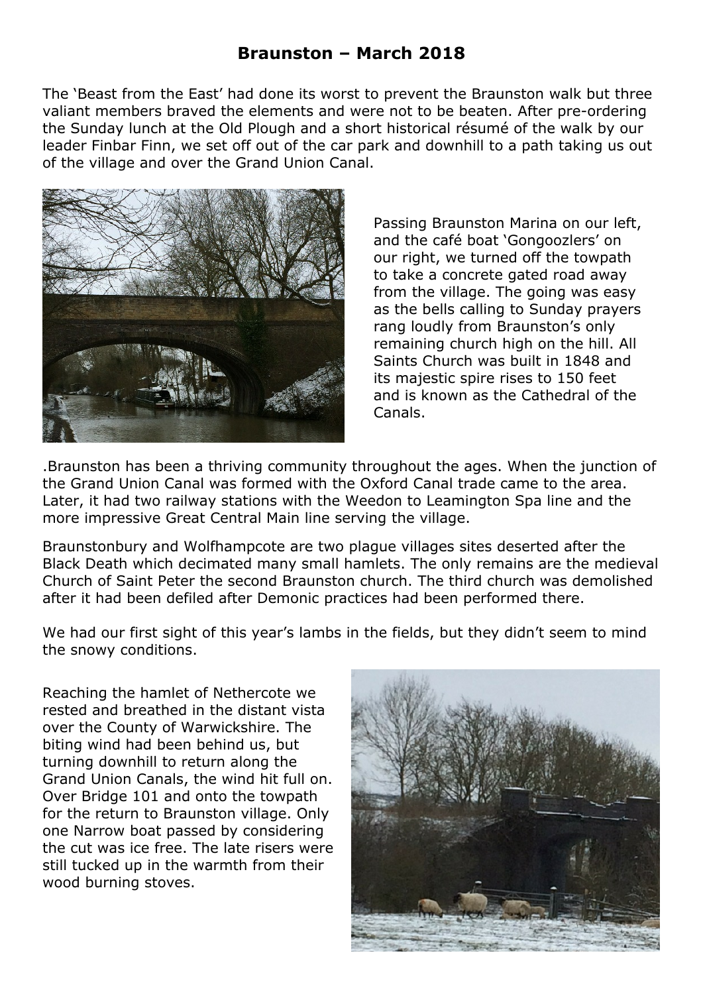The 'Beast from the East' had done its worst to prevent the Braunston walk but three valiant members braved the elements and were not to be beaten. After pre-ordering the Sunday lunch at the Old Plough and a short historical résumé of the walk by our leader Finbar Finn, we set off out of the car park and downhill to a path taking us out of the village and over the Grand Union Canal.



Passing Braunston Marina on our left, and the café boat 'Gongoozlers' on our right, we turned off the towpath to take a concrete gated road away from the village. The going was easy as the bells calling to Sunday prayers rang loudly from Braunston's only remaining church high on the hill. All Saints Church was built in 1848 and its majestic spire rises to 150 feet and is known as the Cathedral of the Canals.

.Braunston has been a thriving community throughout the ages. When the junction of the Grand Union Canal was formed with the Oxford Canal trade came to the area. Later, it had two railway stations with the Weedon to Leamington Spa line and the more impressive Great Central Main line serving the village.

Braunstonbury and Wolfhampcote are two plague villages sites deserted after the Black Death which decimated many small hamlets. The only remains are the medieval Church of Saint Peter the second Braunston church. The third church was demolished after it had been defiled after Demonic practices had been performed there.

We had our first sight of this year's lambs in the fields, but they didn't seem to mind the snowy conditions.

Reaching the hamlet of Nethercote we rested and breathed in the distant vista over the County of Warwickshire. The biting wind had been behind us, but turning downhill to return along the Grand Union Canals, the wind hit full on. Over Bridge 101 and onto the towpath for the return to Braunston village. Only one Narrow boat passed by considering the cut was ice free. The late risers were still tucked up in the warmth from their wood burning stoves.